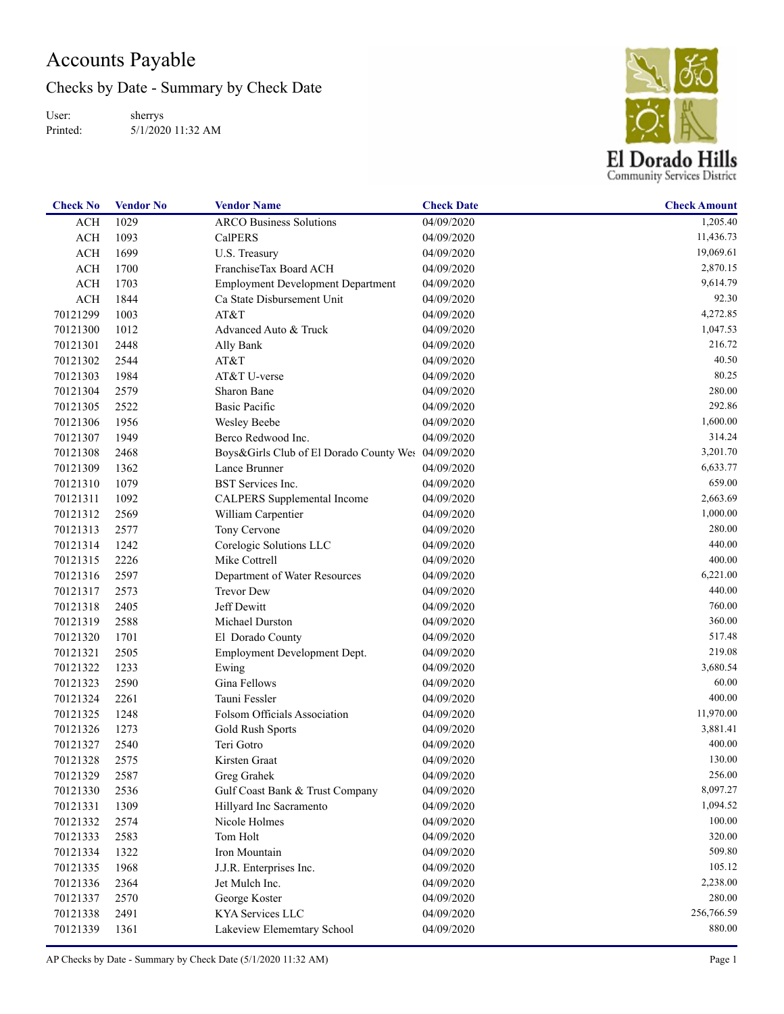## Accounts Payable

Checks by Date - Summary by Check Date

User: Printed: sherrys 5/1/2020 11:32 AM



| <b>Check No</b> | <b>Vendor No</b> | <b>Vendor Name</b>                       | <b>Check Date</b> | <b>Check Amount</b> |
|-----------------|------------------|------------------------------------------|-------------------|---------------------|
| <b>ACH</b>      | 1029             | <b>ARCO Business Solutions</b>           | 04/09/2020        | 1,205.40            |
| ACH             | 1093             | <b>CalPERS</b>                           | 04/09/2020        | 11,436.73           |
| ACH             | 1699             | U.S. Treasury                            | 04/09/2020        | 19,069.61           |
| ACH             | 1700             | FranchiseTax Board ACH                   | 04/09/2020        | 2,870.15            |
| <b>ACH</b>      | 1703             | <b>Employment Development Department</b> | 04/09/2020        | 9,614.79            |
| ACH             | 1844             | Ca State Disbursement Unit               | 04/09/2020        | 92.30               |
| 70121299        | 1003             | AT&T                                     | 04/09/2020        | 4,272.85            |
| 70121300        | 1012             | Advanced Auto & Truck                    | 04/09/2020        | 1,047.53            |
| 70121301        | 2448             | Ally Bank                                | 04/09/2020        | 216.72              |
| 70121302        | 2544             | AT&T                                     | 04/09/2020        | 40.50               |
| 70121303        | 1984             | AT&T U-verse                             | 04/09/2020        | 80.25               |
| 70121304        | 2579             | Sharon Bane                              | 04/09/2020        | 280.00              |
| 70121305        | 2522             | <b>Basic Pacific</b>                     | 04/09/2020        | 292.86              |
| 70121306        | 1956             | Wesley Beebe                             | 04/09/2020        | 1,600.00            |
| 70121307        | 1949             | Berco Redwood Inc.                       | 04/09/2020        | 314.24              |
| 70121308        | 2468             | Boys&Girls Club of El Dorado County Wes  | 04/09/2020        | 3,201.70            |
| 70121309        | 1362             | Lance Brunner                            | 04/09/2020        | 6,633.77            |
| 70121310        | 1079             | BST Services Inc.                        | 04/09/2020        | 659.00              |
| 70121311        | 1092             | CALPERS Supplemental Income              | 04/09/2020        | 2,663.69            |
| 70121312        | 2569             | William Carpentier                       | 04/09/2020        | 1,000.00            |
| 70121313        | 2577             | Tony Cervone                             | 04/09/2020        | 280.00              |
| 70121314        | 1242             | Corelogic Solutions LLC                  | 04/09/2020        | 440.00              |
| 70121315        | 2226             | Mike Cottrell                            | 04/09/2020        | 400.00              |
| 70121316        | 2597             | Department of Water Resources            | 04/09/2020        | 6,221.00            |
| 70121317        | 2573             | <b>Trevor Dew</b>                        | 04/09/2020        | 440.00              |
| 70121318        | 2405             | Jeff Dewitt                              | 04/09/2020        | 760.00              |
| 70121319        | 2588             | Michael Durston                          | 04/09/2020        | 360.00              |
| 70121320        | 1701             | El Dorado County                         | 04/09/2020        | 517.48              |
| 70121321        | 2505             | Employment Development Dept.             | 04/09/2020        | 219.08              |
| 70121322        | 1233             | Ewing                                    | 04/09/2020        | 3,680.54            |
| 70121323        | 2590             | Gina Fellows                             | 04/09/2020        | 60.00               |
| 70121324        | 2261             | Tauni Fessler                            | 04/09/2020        | 400.00              |
| 70121325        | 1248             | Folsom Officials Association             | 04/09/2020        | 11,970.00           |
| 70121326        | 1273             | Gold Rush Sports                         | 04/09/2020        | 3,881.41            |
| 70121327        | 2540             | Teri Gotro                               | 04/09/2020        | 400.00              |
| 70121328        | 2575             | Kirsten Graat                            | 04/09/2020        | 130.00              |
| 70121329        | 2587             | Greg Grahek                              | 04/09/2020        | 256.00              |
| 70121330        | 2536             | Gulf Coast Bank & Trust Company          | 04/09/2020        | 8,097.27            |
| 70121331        | 1309             | Hillyard Inc Sacramento                  | 04/09/2020        | 1,094.52            |
| 70121332        | 2574             | Nicole Holmes                            | 04/09/2020        | 100.00              |
| 70121333        | 2583             | Tom Holt                                 | 04/09/2020        | 320.00              |
| 70121334        | 1322             | Iron Mountain                            | 04/09/2020        | 509.80              |
| 70121335        | 1968             | J.J.R. Enterprises Inc.                  | 04/09/2020        | 105.12              |
| 70121336        | 2364             | Jet Mulch Inc.                           | 04/09/2020        | 2,238.00            |
| 70121337        | 2570             | George Koster                            | 04/09/2020        | 280.00              |
| 70121338        | 2491             | KYA Services LLC                         | 04/09/2020        | 256,766.59          |
| 70121339        | 1361             | Lakeview Elememtary School               | 04/09/2020        | 880.00              |
|                 |                  |                                          |                   |                     |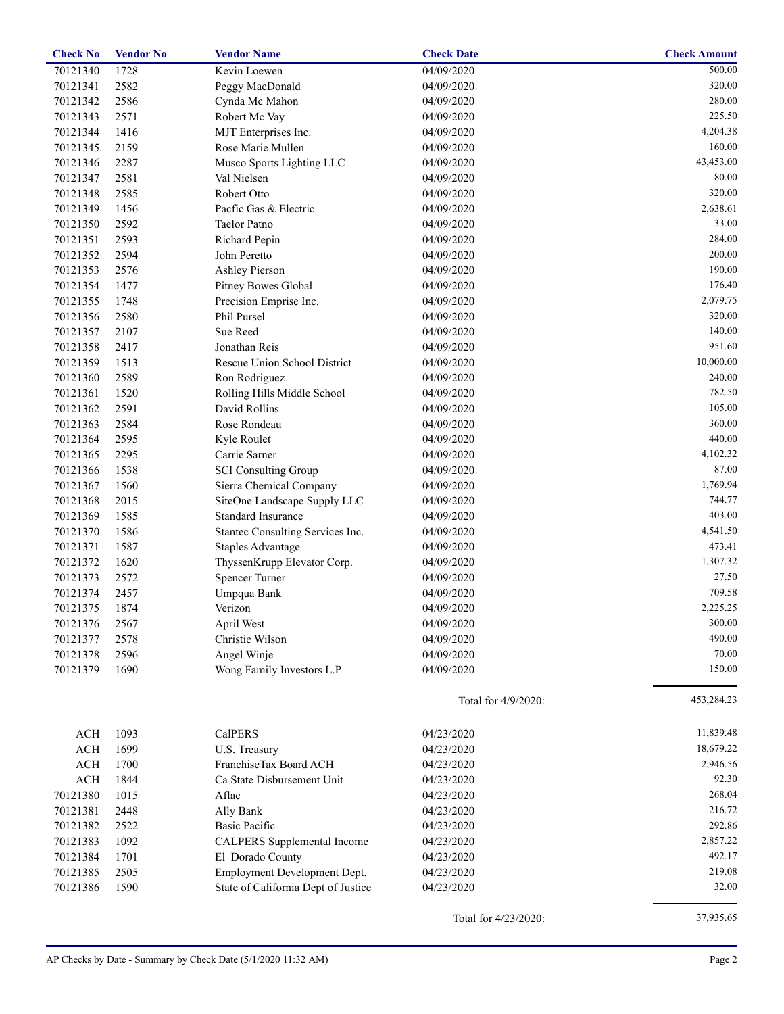| <b>Check No</b> | <b>Vendor No</b> | <b>Vendor Name</b>                  | <b>Check Date</b>    | <b>Check Amount</b> |
|-----------------|------------------|-------------------------------------|----------------------|---------------------|
| 70121340        | 1728             | Kevin Loewen                        | 04/09/2020           | 500.00              |
| 70121341        | 2582             | Peggy MacDonald                     | 04/09/2020           | 320.00              |
| 70121342        | 2586             | Cynda Mc Mahon                      | 04/09/2020           | 280.00              |
| 70121343        | 2571             | Robert Mc Vay                       | 04/09/2020           | 225.50              |
| 70121344        | 1416             | MJT Enterprises Inc.                | 04/09/2020           | 4,204.38            |
| 70121345        | 2159             | Rose Marie Mullen                   | 04/09/2020           | 160.00              |
| 70121346        | 2287             | Musco Sports Lighting LLC           | 04/09/2020           | 43,453.00           |
| 70121347        | 2581             | Val Nielsen                         | 04/09/2020           | 80.00               |
| 70121348        | 2585             | Robert Otto                         | 04/09/2020           | 320.00              |
| 70121349        | 1456             | Pacfic Gas & Electric               | 04/09/2020           | 2,638.61            |
| 70121350        | 2592             | <b>Taelor Patno</b>                 | 04/09/2020           | 33.00               |
| 70121351        | 2593             | Richard Pepin                       | 04/09/2020           | 284.00              |
| 70121352        | 2594             | John Peretto                        | 04/09/2020           | 200.00              |
| 70121353        | 2576             | <b>Ashley Pierson</b>               | 04/09/2020           | 190.00              |
| 70121354        | 1477             | Pitney Bowes Global                 | 04/09/2020           | 176.40              |
| 70121355        | 1748             | Precision Emprise Inc.              | 04/09/2020           | 2,079.75            |
| 70121356        | 2580             | Phil Pursel                         | 04/09/2020           | 320.00              |
| 70121357        | 2107             | Sue Reed                            | 04/09/2020           | 140.00              |
| 70121358        | 2417             | Jonathan Reis                       | 04/09/2020           | 951.60              |
| 70121359        | 1513             | Rescue Union School District        | 04/09/2020           | 10,000.00           |
| 70121360        | 2589             | Ron Rodriguez                       | 04/09/2020           | 240.00              |
| 70121361        | 1520             | Rolling Hills Middle School         | 04/09/2020           | 782.50              |
| 70121362        | 2591             | David Rollins                       | 04/09/2020           | 105.00              |
| 70121363        | 2584             | Rose Rondeau                        | 04/09/2020           | 360.00              |
| 70121364        | 2595             | Kyle Roulet                         | 04/09/2020           | 440.00              |
| 70121365        | 2295             | Carrie Sarner                       | 04/09/2020           | 4,102.32            |
| 70121366        | 1538             | <b>SCI Consulting Group</b>         | 04/09/2020           | 87.00               |
| 70121367        | 1560             | Sierra Chemical Company             | 04/09/2020           | 1,769.94            |
| 70121368        | 2015             | SiteOne Landscape Supply LLC        | 04/09/2020           | 744.77              |
| 70121369        | 1585             | <b>Standard Insurance</b>           | 04/09/2020           | 403.00              |
| 70121370        | 1586             | Stantec Consulting Services Inc.    | 04/09/2020           | 4,541.50            |
| 70121371        | 1587             | <b>Staples Advantage</b>            | 04/09/2020           | 473.41              |
| 70121372        | 1620             | ThyssenKrupp Elevator Corp.         | 04/09/2020           | 1,307.32            |
| 70121373        | 2572             | Spencer Turner                      | 04/09/2020           | 27.50               |
| 70121374        | 2457             | Umpqua Bank                         | 04/09/2020           | 709.58              |
| 70121375        | 1874             | Verizon                             | 04/09/2020           | 2,225.25            |
| 70121376        | 2567             | April West                          | 04/09/2020           | 300.00              |
| 70121377        | 2578             | Christie Wilson                     | 04/09/2020           | 490.00              |
| 70121378        | 2596             | Angel Winje                         | 04/09/2020           | 70.00               |
| 70121379        | 1690             | Wong Family Investors L.P           | 04/09/2020           | 150.00              |
|                 |                  |                                     | Total for 4/9/2020:  | 453,284.23          |
| ACH             | 1093             | CalPERS                             | 04/23/2020           | 11,839.48           |
| ACH             | 1699             | U.S. Treasury                       | 04/23/2020           | 18,679.22           |
| ACH             | 1700             | FranchiseTax Board ACH              | 04/23/2020           | 2,946.56            |
| ACH             | 1844             | Ca State Disbursement Unit          | 04/23/2020           | 92.30               |
| 70121380        | 1015             | Aflac                               | 04/23/2020           | 268.04              |
| 70121381        | 2448             | Ally Bank                           | 04/23/2020           | 216.72              |
| 70121382        | 2522             | <b>Basic Pacific</b>                | 04/23/2020           | 292.86              |
| 70121383        | 1092             | CALPERS Supplemental Income         | 04/23/2020           | 2,857.22            |
| 70121384        | 1701             | El Dorado County                    | 04/23/2020           | 492.17              |
| 70121385        | 2505             | Employment Development Dept.        | 04/23/2020           | 219.08              |
| 70121386        | 1590             | State of California Dept of Justice | 04/23/2020           | 32.00               |
|                 |                  |                                     | Total for 4/23/2020: | 37,935.65           |